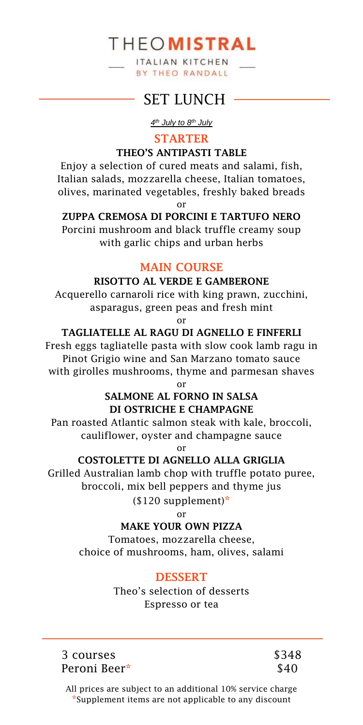ITALIAN KITCHEN **BY THEO RANDALL** 

# SFT LUNCH -

*4 th July to 8th July*

### **STARTER**

### **THEO'S ANTIPASTI TABLE**

Enjoy a selection of cured meats and salami, fish, Italian salads, mozzarella cheese, Italian tomatoes, olives, marinated vegetables, freshly baked breads

or

# **ZUPPA CREMOSA DI PORCINI E TARTUFO NERO**

Porcini mushroom and black truffle creamy soup with garlic chips and urban herbs

# **MAIN COURSE**

### **RISOTTO AL VERDE E GAMBERONE**

Acquerello carnaroli rice with king prawn, zucchini, asparagus, green peas and fresh mint

or

#### **TAGLIATELLE AL RAGU DI AGNELLO E FINFERLI**

Fresh eggs tagliatelle pasta with slow cook lamb ragu in Pinot Grigio wine and San Marzano tomato sauce with girolles mushrooms, thyme and parmesan shaves

or

# **SALMONE AL FORNO IN SALSA DI OSTRICHE E CHAMPAGNE**

Pan roasted Atlantic salmon steak with kale, broccoli, cauliflower, oyster and champagne sauce

or

# **COSTOLETTE DI AGNELLO ALLA GRIGLIA**

Grilled Australian lamb chop with truffle potato puree, broccoli, mix bell peppers and thyme jus

(\$120 supplement)**\***

or

### **MAKE YOUR OWN PIZZA**

Tomatoes, mozzarella cheese, choice of mushrooms, ham, olives, salami

# **DESSERT**

Theo's selection of desserts Espresso or tea

3 courses Peroni Beer**\*** \$348 \$40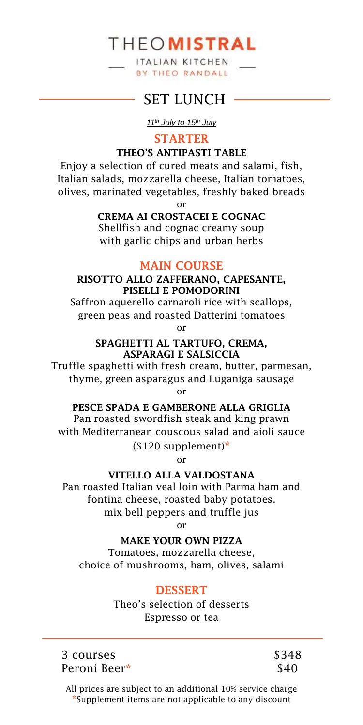ITALIAN KITCHEN **BY THEO RANDALL** 

# SET LUNCH -

*11th July to 15th July*

### **STARTER**

### **THEO'S ANTIPASTI TABLE**

Enjoy a selection of cured meats and salami, fish, Italian salads, mozzarella cheese, Italian tomatoes, olives, marinated vegetables, freshly baked breads

or

### **CREMA AI CROSTACEI E COGNAC**

Shellfish and cognac creamy soup with garlic chips and urban herbs

### **MAIN COURSE**

#### **RISOTTO ALLO ZAFFERANO, CAPESANTE, PISELLI E POMODORINI**

Saffron aquerello carnaroli rice with scallops, green peas and roasted Datterini tomatoes or

#### **SPAGHETTI AL TARTUFO, CREMA, ASPARAGI E SALSICCIA**

Truffle spaghetti with fresh cream, butter, parmesan, thyme, green asparagus and Luganiga sausage or

**PESCE SPADA E GAMBERONE ALLA GRIGLIA** 

Pan roasted swordfish steak and king prawn with Mediterranean couscous salad and aioli sauce (\$120 supplement)**\***

or

#### **VITELLO ALLA VALDOSTANA**

Pan roasted Italian veal loin with Parma ham and fontina cheese, roasted baby potatoes, mix bell peppers and truffle jus

or

# **MAKE YOUR OWN PIZZA**

Tomatoes, mozzarella cheese, choice of mushrooms, ham, olives, salami

# **DESSERT**

Theo's selection of desserts Espresso or tea

3 courses Peroni Beer**\*** \$348 \$40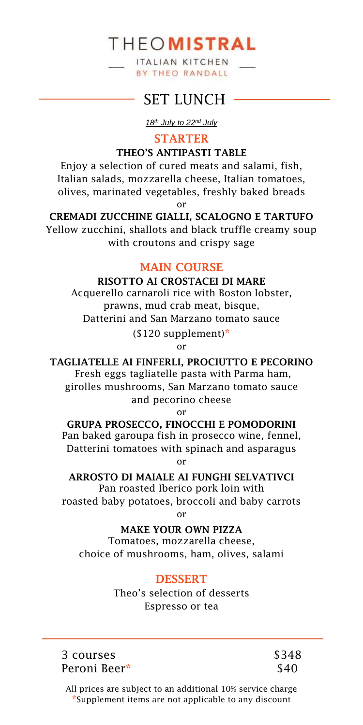ITALIAN KITCHEN **BY THEO RANDALL** 

# SET LUNCH -

*18th July to 22nd July*

**STARTER**

**THEO'S ANTIPASTI TABLE** 

Enjoy a selection of cured meats and salami, fish, Italian salads, mozzarella cheese, Italian tomatoes, olives, marinated vegetables, freshly baked breads

or

**CREMADI ZUCCHINE GIALLI, SCALOGNO E TARTUFO** Yellow zucchini, shallots and black truffle creamy soup with croutons and crispy sage

# **MAIN COURSE**

# **RISOTTO AI CROSTACEI DI MARE**

Acquerello carnaroli rice with Boston lobster, prawns, mud crab meat, bisque, Datterini and San Marzano tomato sauce (\$120 supplement)**\***

or

**TAGLIATELLE AI FINFERLI, PROCIUTTO E PECORINO**

Fresh eggs tagliatelle pasta with Parma ham, girolles mushrooms, San Marzano tomato sauce and pecorino cheese

or

**GRUPA PROSECCO, FINOCCHI E POMODORINI**  Pan baked garoupa fish in prosecco wine, fennel, Datterini tomatoes with spinach and asparagus

or

**ARROSTO DI MAIALE AI FUNGHI SELVATIVCI** Pan roasted Iberico pork loin with roasted baby potatoes, broccoli and baby carrots

or

**MAKE YOUR OWN PIZZA**

Tomatoes, mozzarella cheese, choice of mushrooms, ham, olives, salami

# **DESSERT**

Theo's selection of desserts Espresso or tea

3 courses Peroni Beer**\*** \$348 \$40